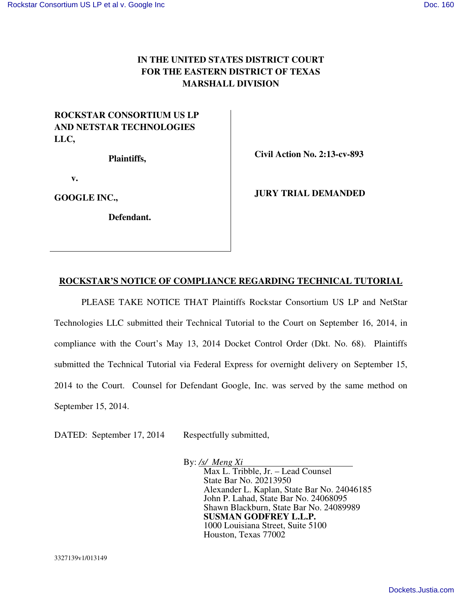## **IN THE UNITED STATES DISTRICT COURT FOR THE EASTERN DISTRICT OF TEXAS MARSHALL DIVISION**

## **ROCKSTAR CONSORTIUM US LP AND NETSTAR TECHNOLOGIES LLC,**

 **Plaintiffs,** 

 **Civil Action No. 2:13-cv-893** 

 **v.** 

**GOOGLE INC.,** 

 **Defendant.** 

 **JURY TRIAL DEMANDED** 

## **ROCKSTAR'S NOTICE OF COMPLIANCE REGARDING TECHNICAL TUTORIAL**

 PLEASE TAKE NOTICE THAT Plaintiffs Rockstar Consortium US LP and NetStar Technologies LLC submitted their Technical Tutorial to the Court on September 16, 2014, in compliance with the Court's May 13, 2014 Docket Control Order (Dkt. No. 68). Plaintiffs submitted the Technical Tutorial via Federal Express for overnight delivery on September 15, 2014 to the Court. Counsel for Defendant Google, Inc. was served by the same method on September 15, 2014.

DATED: September 17, 2014 Respectfully submitted,

By: */s/ Meng Xi* 

Max L. Tribble, Jr. – Lead Counsel State Bar No. 20213950 Alexander L. Kaplan, State Bar No. 24046185 John P. Lahad, State Bar No. 24068095 Shawn Blackburn, State Bar No. 24089989 **SUSMAN GODFREY L.L.P.**  1000 Louisiana Street, Suite 5100 Houston, Texas 77002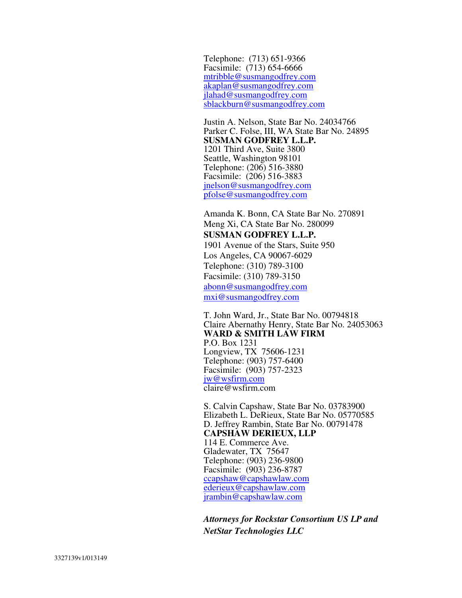Telephone: (713) 651-9366 Facsimile: (713) 654-6666 mtribble@susmangodfrey.com akaplan@susmangodfrey.com jlahad@susmangodfrey.com sblackburn@susmangodfrey.com

Justin A. Nelson, State Bar No. 24034766 Parker C. Folse, III, WA State Bar No. 24895 **SUSMAN GODFREY L.L.P.**  1201 Third Ave, Suite 3800 Seattle, Washington 98101 Telephone: (206) 516-3880 Facsimile: (206) 516-3883 jnelson@susmangodfrey.com pfolse@susmangodfrey.com

Amanda K. Bonn, CA State Bar No. 270891 Meng Xi, CA State Bar No. 280099 **SUSMAN GODFREY L.L.P.**  1901 Avenue of the Stars, Suite 950 Los Angeles, CA 90067-6029 Telephone: (310) 789-3100 Facsimile: (310) 789-3150 abonn@susmangodfrey.com mxi@susmangodfrey.com

T. John Ward, Jr., State Bar No. 00794818 Claire Abernathy Henry, State Bar No. 24053063 **WARD & SMITH LAW FIRM**  P.O. Box 1231 Longview, TX 75606-1231 Telephone: (903) 757-6400 Facsimile: (903) 757-2323 jw@wsfirm.com claire@wsfirm.com

S. Calvin Capshaw, State Bar No. 03783900 Elizabeth L. DeRieux, State Bar No. 05770585 D. Jeffrey Rambin, State Bar No. 00791478 **CAPSHAW DERIEUX, LLP**  114 E. Commerce Ave. Gladewater, TX 75647 Telephone: (903) 236-9800 Facsimile: (903) 236-8787 ccapshaw@capshawlaw.com ederieux@capshawlaw.com jrambin@capshawlaw.com

*Attorneys for Rockstar Consortium US LP and NetStar Technologies LLC*